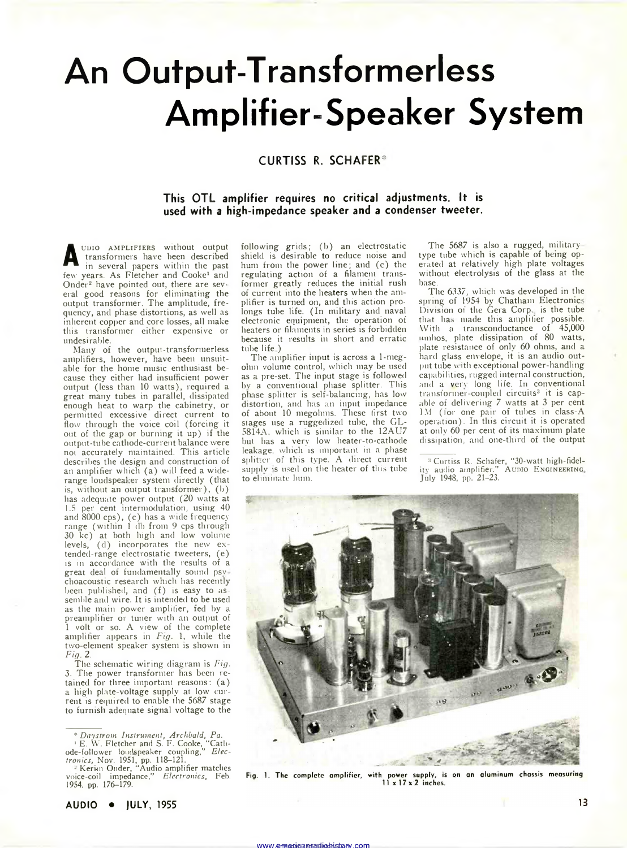# **An Output-Transformerless Amplifier-Speaker System**

## **CURTISS R. SCHAFER®**

### **This OTL amplifier requires no critical adjustments. It is used with a high-impedance speaker and a condenser tweeter.**

following grids; (b) an electrostatic shield is desirable to reduce noise and hum from the power line; and (c) the regulating action of a filament transformer greatly reduces the initial rush of current into the heaters when the amplifier is turned on, and this action prolongs tube life. (In military and naval electronic equipment, the operation of heaters or filaments in series is forbidden because it results in short and erratic

The amplifier input is across a 1-megohm volume control, which may be used as a pre-set. The input stage is followed bv a conventional phase splitter. This phase splitter is self-balancing, has low distortion, and has an input impedance of about 10 megohms. These first two

**A UDIO AMPLIFIERS** without output<br>transformers have been described<br>few years. As Fletcher and Cooke<sup>1</sup> and udio amplifiers without output transformers have been described in several papers within the past Onder<sup>2</sup> have pointed out, there are several good reasons for eliminating the output transformer. The amplitude, frequency, and phase distortions, as well as inherent copper and core losses, all make this transformer either expensive or undesirable.

Many of the output-transformerless amplifiers, however, have been unsuitable for the home music enthusiast because they either had insufficient power output (less than 10 watts), required a great many tubes in parallel, dissipated enough heat to warp the cabinetry, or permitted excessive direct current to flow through the voice coil (forcing it out of the gap or burning it up) if the output-tube cathode-current balance were not accurately maintained. This article describes the design and construction of an amplifier which (a) will feed a widerange loudspealer system directly (that is, without an output transformer), (b) has adequate power output (20 watts at 1.5 per cent intermodulation, using 40 and 8000 cps), (c) has a wide frequency range (within 1 db from 9 cps through 30 kc) at both high and low volume levels, (d) incorporates the new extended-range electrostatic tweeters, (e) is in accordance with the results of a great deal of fundamentally sound psv choacoustic research which has recently been published, and (f) is easy to assemble and wire. It is intended to be used as the main power amplifier, fed by a preamplifier or tuner with an output of 1 volt or so. A view of the complete amplifier appears in *Fig.* 1, while the two-element speaker system is shown in Fig. 2.

*Fig.* 2. .... The schematic wiring diagram is *Fig.* 3. The power transformer has been retained for three important reasons: (a) a high plate-voltage supply at low current is required to enable the 5687 stage to furnish adequate signal voltage to the

stages use a ruggedized tube, the GL-5814A, which is similar to the 12AU7 but has a very low heater-to-cathode leakage, which is important in a phase splitter ot this type. A direct current supply is used on the heater of this tube to eliminate hum.

tube life )

The 5687 is also a rugged, militarytype tube which is capable of being operated at relatively high plate voltages without electrolysis of the glass at the base.

The 6337, which was developed in the spring of 1954 by Chatham Electronics Division of the Gera Corp., is the tube that has made this amplifier possible. With a transconductance of 45,000 umbos, plate dissipation of 80 watts, plate resistance of only 60 ohms, and a hard glass envelope, it is an audio output tube with exceptional power-handling capabilities, rugged internal construction, and a very long life. In conventional transformer-coupled circuits3 it is capable of delivering 7 watts at 3 per cent 1M (for one pair of tubes in class-A operation). In this circuit it is operated at only 60 per cent of its maximum plate dissipation, and one-third of the output

3 Curtiss R. Schafer, "30-watt high-fidel-ity audio amplifier." Audio E ngineering ity audio amplifier."<br>July 1948, pp. 21–23.



Fig. 1. The complete amplifier, with power supply, is on an aluminum chassis measuring<br>11 x 17 x 2 inches.

*<sup>\*</sup> Daystrom Instrument, Archbald, Pa.* 1 E. W. Fletcher and S. F. Cooke, "Cathode-follower loudspeaker coupling,'' *Elec-*

*tronics,* Nov. 1951, pp. 118–121.<br>- <del>"</del> Kerim Onder, "Audio amplifier matches<br>voice-coil impedance," *Electronics*, Feb. 1954, pp. 176-179.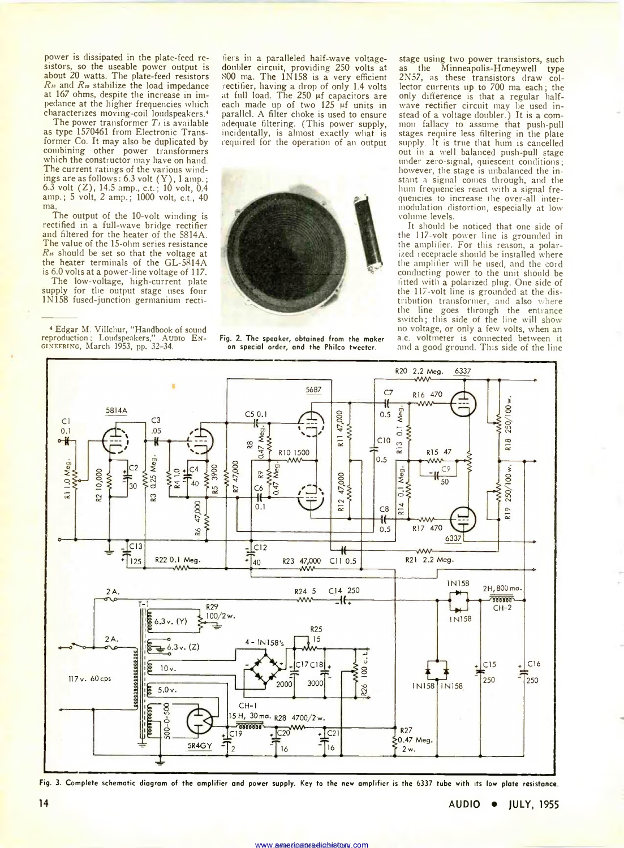power is dissipated in the plate-feed resistors, so the useable power output is about 20 watts. The plate-feed resistors *Rn* and *Ra* stabilize the load impedance at 167 ohms, despite the increase in impedance at the higher frequencies which characterizes moving-coil loudspeakers.4

The power transformer *Ti* is available as type 1570461 from Electronic Transformer Co. It may also be duplicated by combining other power transformers which the constructor may have on hand. The current ratings of the various windings are as follows: 6.3 volt (Y ), 1 amp.; 6.3 volt  $(Z)$ , 14.5 amp., c.t.; 10 volt, 0.4 amp.; 5 volt, 2 amp.; 1000 volt, c.t., 40 ma

The output of the 10-volt winding is rectified in a full-wave bridge rectifier and filtered for the heater of the 5814A. The value of the 15-ohm series resistance *Ra* should be set so that the voltage at the heater terminals of the GL-5814A is 6.0 volts at a power-line voltage of 117.

The low-voltage, high-current plate supply for the output stage uses four 1N158 fused-junction germanium recti-

4 Edgar M. Villchur, "Handbook of sound reproduction: Loudspeakers," Aunio Engineering, March 1953, pp. 32-34.

tiers in a paralleled half-wave voltagedoubler circuit, providing 250 volts at 800 ma. The 1N158 is a very efficient rectifier, having a drop of only 1.4 volts at full load. The 250 pf capacitors are each made up of two  $125 \mu f$  units in parallel. A filter choke is used to ensure adequate filtering. (This power supply, incidentally, is almost exactly what is required for the operation of an output



Fig. 2. The speaker, obtained from the maker on special order, and the Philco tweeter

stage using two power transistors, such<br>as the Minneapolis-Honeywell type the Minneapolis-Honeywell type 2N57, as these transistors draw collector currents up to 700 ma each; the only difference is that a regular halfwave rectifier circuit may be used instead of a voltage doubler.) It is a common fallacy to assume that push-pull stages require less filtering in the plate supply. It is true that hum is cancelled out in a well balanced push-pull stage under zero-signal, quiescent conditions; however, the stage is unbalanced the instant a signal comes through, and the hum frequencies react with a signal frequencies to increase the over-all intermodulation distortion, especially at low volume levels.

It should be noticed that one side of the 117-volt power line is grounded in the amplifier. For this reason, a polarized receptacle should be installed where the amplifier will be used, and the cord conducting power to the unit should be fitted with a polarized plug. One side of the 117-volt line is grounded at the distribution transformer, and also where the line goes through the entrance switch; this side of the line will show no voltage, or only a few volts, when an a c. voltmeter is connected between it and a good ground. This side of the line



Fig. 3. Complete schematic diagram of the amplifier and power supply. Key to the new amplifier is the 6337 tube with its low plate resistance.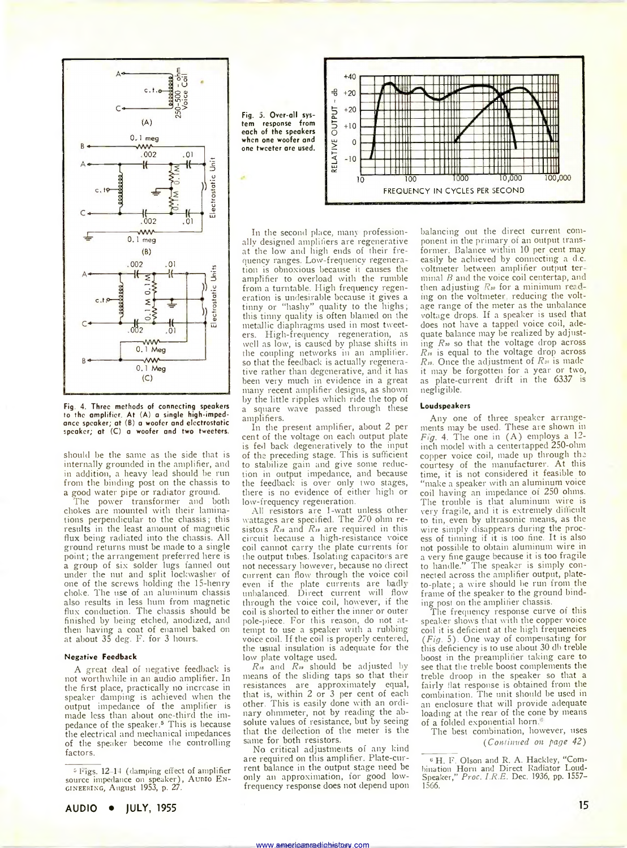

Fig. 4. Three methods of connecting speakers to the amplifier. At (A) a single high-impedance speaker; at (B) a woofer and electrostatic speaker; at (C) a woofer and two tweeters.

should be the same as the side that is internally grounded in the amplifier, and in addition, a heavy lead should be run from the binding post on the chassis to a good water pipe or radiator ground.

The power transformer and both chokes are mounted with their laminations perpendicular to the chassis; this results in the least amount of magnetic flux being radiated into the chassis. All ground returns must be made to a single point; the arrangement preferred here is a group of six solder lugs fanned out under the nut and split lockwasher of one of the screws holding the 15-henry choke. The use of an aluminum chassis also results in less hum from magnetic flux conduction. The chassis should be finished by being etched, anodized, and then having a coat of enamel baked on at about 35 deg. F. for 3 hours.

#### Negative Feedback

A great deal of negative feedback is not worthwhile in an audio amplifier. In the first place, practically no increase in speaker damping is achieved when the output impedance of the amplifier is made less than about one-third the impedance of the speaker.<sup>5</sup> This is because the electrical and mechanical impedances of the speaker become the controlling factors.

5 bigs. 12 14 (damping effect of amplifier source impedance on speaker), Aunio En-<br>GINEERING, August 1953, p. 27.



In the second place, many professionally designed amplifiers are regenerative at the low and high ends of their frequency ranges. Low-frequency regenera tion is obnoxious because it causes the amplifier to overload with the rumble from a turntable. High frequency regeneration is undesirable because it gives a tinny or "hashy" quality to the highs; this tinny quality is often blamed on the metallic diaphragms used in most tweeters. High-frequency regeneration, as well as low, is caused by phase shifts in the coupling networks in an amplifier, so that the feedback is actually regenerative rather than degenerative, and it has been very much in evidence in a great many recent amplifier designs, as shown by the little ripples which ride the top of a square wave passed through these amplifiers.

In the present amplifier, about 2 per cent of the voltage on each output plate is fed back degeneratively to the input of the preceding stage. This is sufficient to stabilize gain and give some reduction in output impedance, and because the feedback is over only two stages, there is no evidence of either high or low-frequency regeneration.

All resistors are 1-watt unless other wattages are specified. The 270 ohm resistors *Ris* and *Ris* are required in this circuit because a high-resistance voice coil cannot carry the plate currents for the output tubes. Isolating capacitors are not necessary however, because no direct current can flow through the voice coil even if the plate currents are badly unbalanced. Direct current will flow through the voice coil, however, if the coil is shorted to either the inner or outer pole-piece. For this reason, do not attempt to use a speaker with a rubbing voice coil. If the coil is properly centered, the usual insulation is adequate for the low plate voltage used.

*Ris* and *Rm* should be adjusted by means of the sliding taps so that their resistances are approximately equal, that is, within 2 or 3 per cent of each other. This is easily done with an ordinary ohmmeter, not by reading the absolute values of resistance, but by seeing that the deflection of the meter is the same for both resistors.

No critical adjustments of any kind are required on this amplifier. Plate-current balance in the output stage need be only an approximation, for good lowfrequency response does not depend upon

www.americanaadichistom.com

balancing out the direct current component in the primary of an output transformer. Balance within 10 per cent may easily be achieved by connecting a d.c. voltmeter between amplifier output terminal *B* and the voice coil centertap, and then adjusting *R<sub>so</sub>* for a minimum reading on the voltmeter reducing the voltage range of the meter as the unbalance voltage drops. If a speaker is used that does not have a tapped voice coil, adequate balance may be realized by adjusting *Rio* so that the voltage drop across *R,,* is equal to the voltage drop across *Ris.* Once the adjustment of *Rio* is made it may be forgotten for a year or two, as plate-current drift in the 6337 is negligible.

#### Loudspeakers

Any one of three speaker arrangements may be used. These are shown in *Fig. 4.* The one in (A) employs a 12 inch model with a centertapped 250-ohm copper voice coil, made up through the courtesy of the manufacturer. At this time, it is not considered it feasible to "make a speaker with an aluminum voice coil having an impedance of 250 ohms. The trouble is that aluminum wire is very fragile, and it is extremely difficult to tin, even by ultrasonic means, as the wire simply disappears during the process of tinning if it is too fine. It is also not possible to obtain aluminum wire in a very fine gauge because it is too fragile to handle." The speaker is simply connected across the amplifier output, plateto-plate; a wire should be run from the frame of the speaker to the ground binding post on the amplifier chassis.

The frequency response curve of this speaker shows that with the copper voice coil it is deficient at the high frequencies *(Fig.* 5). One way of compensating for this deficiency is to use about 30 db treble boost in the preamplifier taking care to see that the treble boost complements the treble droop in the speaker so that a fairly flat response is obtained from the combination. The unit should be used in an enclosure that will provide adequate loading at the rear of the cone by means of a folded exponential horn.

The best combination, however, uses *(Continued on page 42)*

<sup>&</sup>lt;sup>6</sup> H. F. Olson and R. A. Hackley, "Combination Horn and Direct Radiator Loud-Speaker," *Proc. I.R.E.* Dec. 1936, pp. 1557— 15C6.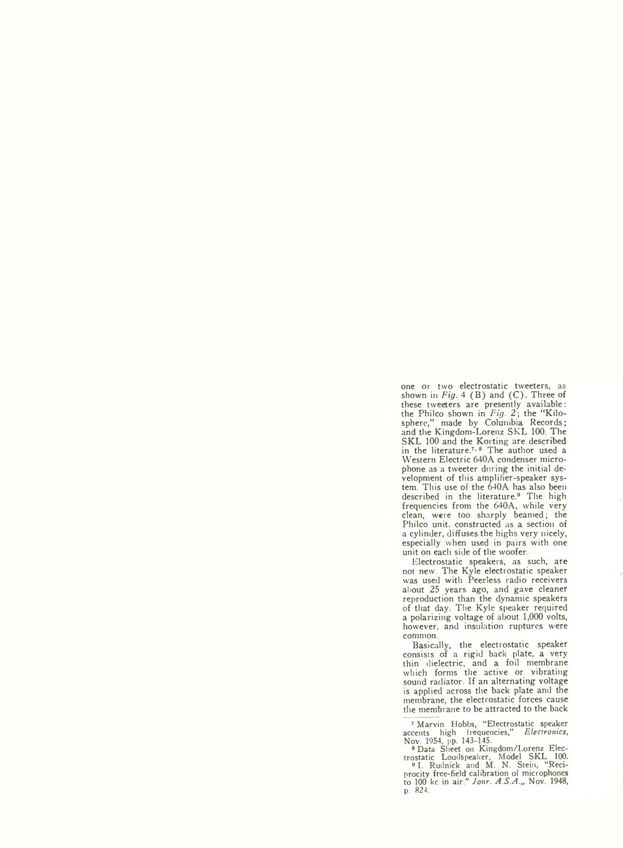one or two electrostatic tweeters, as shown in *Fig.* 4 (B) and (C). Three of these tweeters are presently available: the Philco shown in *Fig. 2* ; the "Kilosphere," made by Columbia Records; and the Kingdom-Lorenz SKL 100. The SKL 100 and the Korting are described in the literature.<sup>7, 8</sup> The author used a Western Electric 640A condenser microphone as a tweeter during the initial development of this amplifier-speaker system. This use of the 640A has also been described in the literature.<sup>9</sup> The high frequencies from the 640A, while very clean, were too sharply beamed; the Philco unit, constructed as a section of a cylinder, diffuses the highs very nicely, especially when used in pairs with one unit on each side of the woofer.

Electrostatic speakers, as such, are not new. The Kyle electrostatic speaker was used with Peerless radio receivers about 25 years ago, and gave cleaner reproduction than the dynamic speakers of that day. The Kyle speaker required a polarizing voltage of about 1,000 volts, however, and insulation ruptures were common

Basically, the electrostatic speaker consists of a rigid back plate, a very thin dielectric, and a foil membrane which forms the active or vibrating sound radiator. If an alternating voltage is applied across the back plate and the membrane, the electrostatic forces cause the membrane to be attracted to the back

7 Marvin Hobbs, "Electrostatic speaker accents high frequencies," *Electronics,*

Nov. 1954, pp. 143-145. 8 Data Sheet on Kingdom/Lorenz Elec-trostatic Loudspeaker, Model SKL 100. 91. Rudnick and M. N. Stein, "Reciprocity free-field calibration of microphones to 100 kc in air" *Jour. A.S.A.,,* Nov. 1948, p. 824.